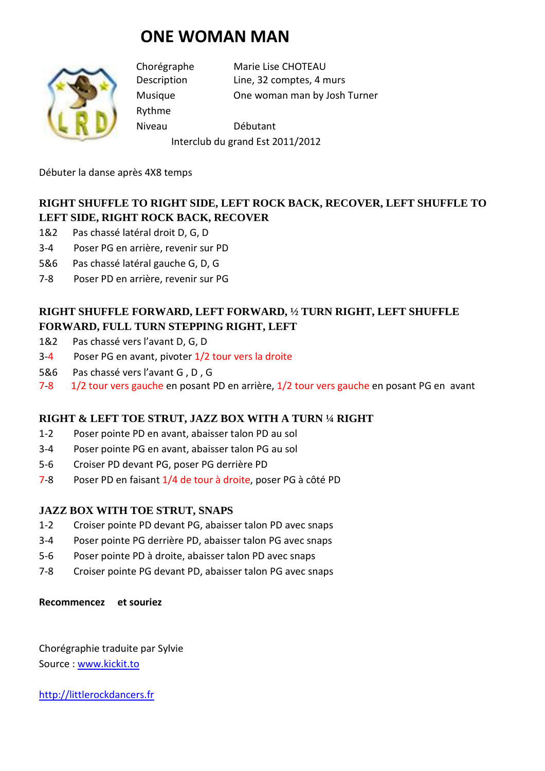# **ONE WOMAN MAN**



Rythme

Chorégraphe Marie Lise CHOTEAU Description Line, 32 comptes, 4 murs Musique One woman man by Josh Turner

Niveau Débutant Interclub du grand Est 2011/2012

Débuter la danse après 4X8 temps

## **RIGHT SHUFFLE TO RIGHT SIDE, LEFT ROCK BACK, RECOVER, LEFT SHUFFLE TO LEFT SIDE, RIGHT ROCK BACK, RECOVER**

- 1&2 Pas chassé latéral droit D, G, D
- 3-4 Poser PG en arrière, revenir sur PD
- 5&6 Pas chassé latéral gauche G, D, G
- 7-8 Poser PD en arrière, revenir sur PG

## **RIGHT SHUFFLE FORWARD, LEFT FORWARD, ½ TURN RIGHT, LEFT SHUFFLE FORWARD, FULL TURN STEPPING RIGHT, LEFT**

- 1&2 Pas chassé vers l'avant D, G, D
- 3-4 Poser PG en avant, pivoter 1/2 tour vers la droite
- 5&6 Pas chassé vers l'avant G , D , G
- 7-8 1/2 tour vers gauche en posant PD en arrière, 1/2 tour vers gauche en posant PG en avant

### **RIGHT & LEFT TOE STRUT, JAZZ BOX WITH A TURN ¼ RIGHT**

- 1-2 Poser pointe PD en avant, abaisser talon PD au sol
- 3-4 Poser pointe PG en avant, abaisser talon PG au sol
- 5-6 Croiser PD devant PG, poser PG derrière PD
- 7-8 Poser PD en faisant 1/4 de tour à droite, poser PG à côté PD

### **JAZZ BOX WITH TOE STRUT, SNAPS**

- 1-2 Croiser pointe PD devant PG, abaisser talon PD avec snaps
- 3-4 Poser pointe PG derrière PD, abaisser talon PG avec snaps
- 5-6 Poser pointe PD à droite, abaisser talon PD avec snaps
- 7-8 Croiser pointe PG devant PD, abaisser talon PG avec snaps

#### **Recommencez et souriez**

Chorégraphie traduite par Sylvie Source : www.kickit.to

http://littlerockdancers.fr